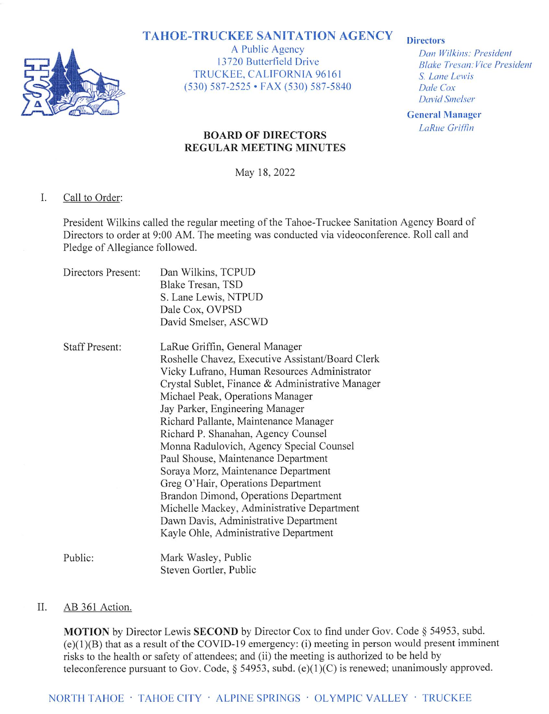# **TAHOE-TRUCKEE SANITATION AGENCY**



A Public Agency 13720 Butterfield Drive TRUCKEE, CALIFORNIA 96161 (530) 587-2525 • FAX (530) 587-5840

### **Directors**

Dan Wilkins: President **Blake Tresan: Vice President** S. Lane Lewis Dale Cox **David Smelser** 

**General Manager LaRue Griffin** 

### **BOARD OF DIRECTORS REGULAR MEETING MINUTES**

May 18, 2022

#### I. Call to Order:

President Wilkins called the regular meeting of the Tahoe-Truckee Sanitation Agency Board of Directors to order at 9:00 AM. The meeting was conducted via videoconference. Roll call and Pledge of Allegiance followed.

| Directors Present:    | Dan Wilkins, TCPUD<br>Blake Tresan, TSD<br>S. Lane Lewis, NTPUD<br>Dale Cox, OVPSD<br>David Smelser, ASCWD                                                                                                                                                                                                                                                                                                                                                                                                                                                                                                                                                                             |
|-----------------------|----------------------------------------------------------------------------------------------------------------------------------------------------------------------------------------------------------------------------------------------------------------------------------------------------------------------------------------------------------------------------------------------------------------------------------------------------------------------------------------------------------------------------------------------------------------------------------------------------------------------------------------------------------------------------------------|
| <b>Staff Present:</b> | LaRue Griffin, General Manager<br>Roshelle Chavez, Executive Assistant/Board Clerk<br>Vicky Lufrano, Human Resources Administrator<br>Crystal Sublet, Finance & Administrative Manager<br>Michael Peak, Operations Manager<br>Jay Parker, Engineering Manager<br>Richard Pallante, Maintenance Manager<br>Richard P. Shanahan, Agency Counsel<br>Monna Radulovich, Agency Special Counsel<br>Paul Shouse, Maintenance Department<br>Soraya Morz, Maintenance Department<br>Greg O'Hair, Operations Department<br>Brandon Dimond, Operations Department<br>Michelle Mackey, Administrative Department<br>Dawn Davis, Administrative Department<br>Kayle Ohle, Administrative Department |
| Public:               | Mark Wasley, Public<br>Steven Gortler, Public                                                                                                                                                                                                                                                                                                                                                                                                                                                                                                                                                                                                                                          |

#### II. AB 361 Action.

MOTION by Director Lewis SECOND by Director Cox to find under Gov. Code § 54953, subd.  $(e)(1)(B)$  that as a result of the COVID-19 emergency: (i) meeting in person would present imminent risks to the health or safety of attendees; and (ii) the meeting is authorized to be held by teleconference pursuant to Gov. Code, § 54953, subd.  $(e)(1)(C)$  is renewed; unanimously approved.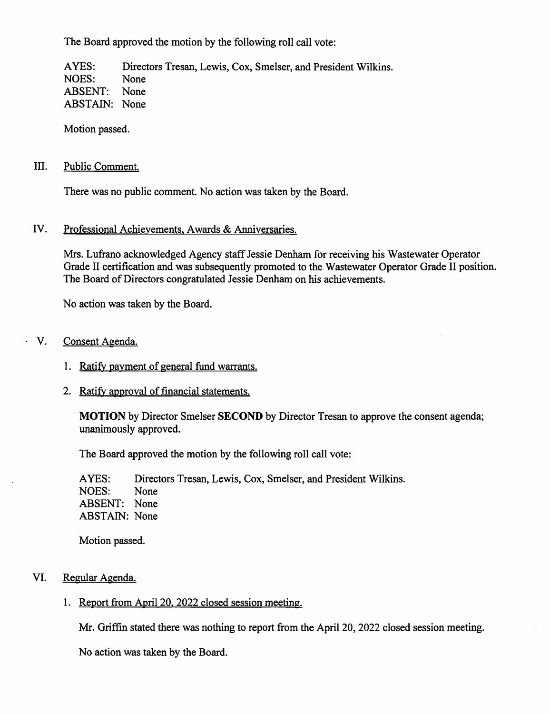The Board approved the motion by the following roll call vote:

AYES: Directors Tresan, Lewis, Cox, Smelser, and President Wilkins. NOES: None **ABSENT:** None **ABSTAIN:** None

Motion passed.

#### III. Public Comment.

There was no public comment. No action was taken by the Board.

#### IV. Professional Achievements, Awards & Anniversaries.

Mrs. Lufrano acknowledged Agency staff Jessie Denham for receiving his Wastewater Operator Grade II certification and was subsequently promoted to the Wastewater Operator Grade II position. The Board of Directors congratulated Jessie Denham on his achievements.

No action was taken by the Board.

#### Consent Agenda.  $\cdot$  V.

- 1. Ratify payment of general fund warrants.
- 2. Ratify approval of financial statements.

**MOTION** by Director Smelser **SECOND** by Director Tresan to approve the consent agenda; unanimously approved.

The Board approved the motion by the following roll call vote:

Directors Tresan, Lewis, Cox, Smelser, and President Wilkins. AYES: NOES: None ABSENT: None **ABSTAIN:** None

Motion passed.

#### VI. Regular Agenda.

1. Report from April 20, 2022 closed session meeting.

Mr. Griffin stated there was nothing to report from the April 20, 2022 closed session meeting.

No action was taken by the Board.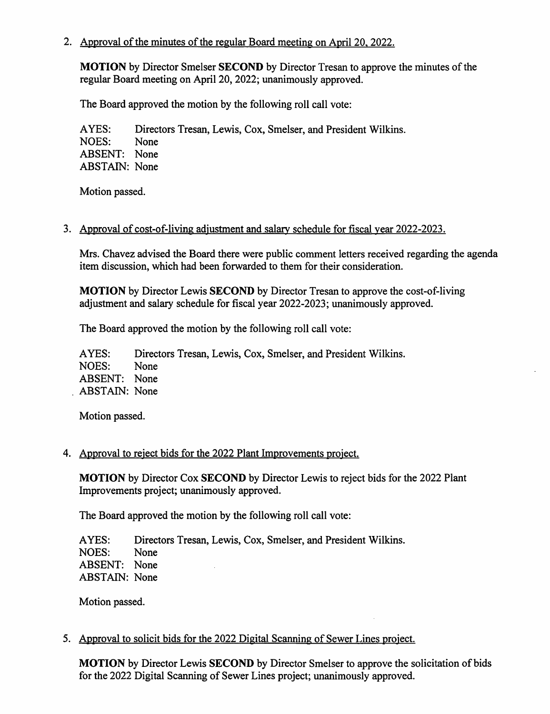2. Approval of the minutes of the regular Board meeting on April 20, 2022.

**MOTION** by Director Smelser **SECOND** by Director Tresan to approve the minutes of the regular Board meeting on April 20, 2022; unanimously approved.

The Board approved the motion by the following roll call vote:

Directors Tresan, Lewis, Cox, Smelser, and President Wilkins. AYES: NOES: None ABSENT: None **ABSTAIN: None** 

Motion passed.

# 3. Approval of cost-of-living adjustment and salary schedule for fiscal year 2022-2023.

Mrs. Chavez advised the Board there were public comment letters received regarding the agenda item discussion, which had been forwarded to them for their consideration.

**MOTION** by Director Lewis **SECOND** by Director Tresan to approve the cost-of-living adjustment and salary schedule for fiscal year 2022-2023; unanimously approved.

The Board approved the motion by the following roll call vote:

Directors Tresan, Lewis, Cox, Smelser, and President Wilkins. AYES: NOES: None ABSENT: None ABSTAIN: None

Motion passed.

# 4. Approval to reject bids for the 2022 Plant Improvements project.

MOTION by Director Cox SECOND by Director Lewis to reject bids for the 2022 Plant Improvements project; unanimously approved.

The Board approved the motion by the following roll call vote:

Directors Tresan, Lewis, Cox, Smelser, and President Wilkins. AYES: NOES: None ABSENT: None **ABSTAIN:** None

Motion passed.

5. Approval to solicit bids for the 2022 Digital Scanning of Sewer Lines project.

**MOTION** by Director Lewis SECOND by Director Smelser to approve the solicitation of bids for the 2022 Digital Scanning of Sewer Lines project; unanimously approved.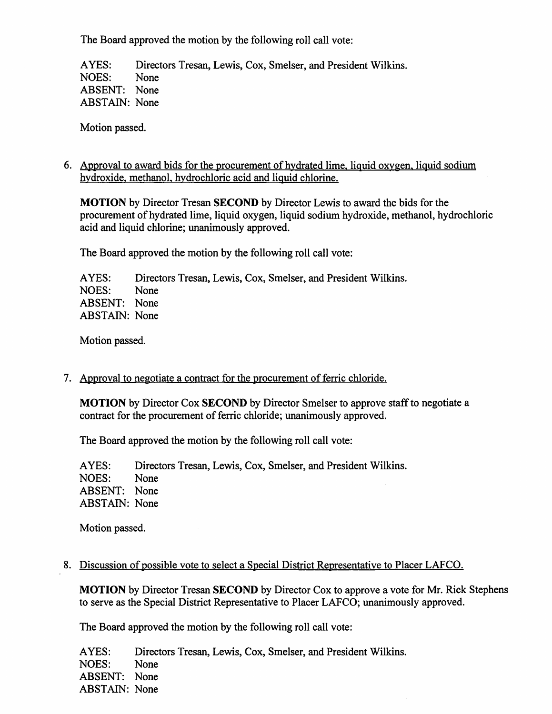The Board approved the motion by the following roll call vote:

AYES: Directors Tresan, Lewis, Cox, Smelser, and President Wilkins. NOES: None ABSENT: None **ABSTAIN:** None

Motion passed.

6. Approval to award bids for the procurement of hydrated lime, liquid oxygen, liquid sodium hydroxide, methanol, hydrochloric acid and liquid chlorine.

MOTION by Director Tresan SECOND by Director Lewis to award the bids for the procurement of hydrated lime, liquid oxygen, liquid sodium hydroxide, methanol, hydrochloric acid and liquid chlorine; unanimously approved.

The Board approved the motion by the following roll call vote:

AYES: Directors Tresan, Lewis, Cox, Smelser, and President Wilkins. NOES: None ABSENT: None **ABSTAIN:** None

Motion passed.

7. Approval to negotiate a contract for the procurement of ferric chloride.

**MOTION** by Director Cox **SECOND** by Director Smelser to approve staff to negotiate a contract for the procurement of ferric chloride; unanimously approved.

The Board approved the motion by the following roll call vote:

AYES: Directors Tresan, Lewis, Cox, Smelser, and President Wilkins. NOES: None ABSENT: None **ABSTAIN:** None

Motion passed.

### 8. Discussion of possible vote to select a Special District Representative to Placer LAFCO.

**MOTION** by Director Tresan SECOND by Director Cox to approve a vote for Mr. Rick Stephens to serve as the Special District Representative to Placer LAFCO; unanimously approved.

The Board approved the motion by the following roll call vote:

AYES: Directors Tresan, Lewis, Cox, Smelser, and President Wilkins. NOES: None ABSENT: None **ABSTAIN:** None